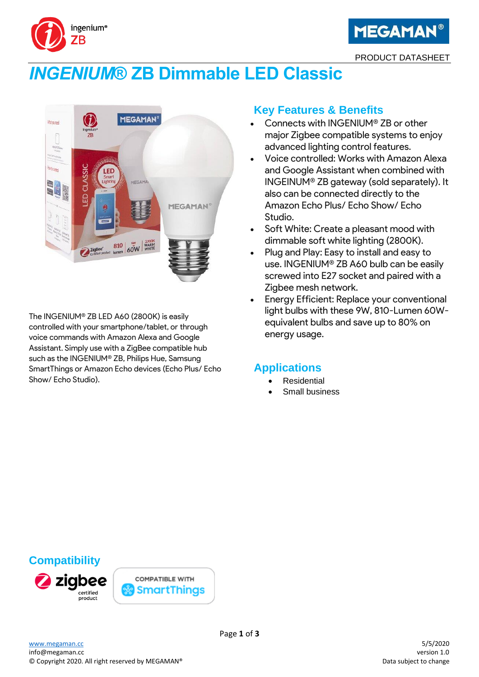



PRODUCT DATASHEET

# *INGENIUM***® ZB Dimmable LED Classic**



The INGENIUM® ZB LED A60 (2800K) is easily controlled with your smartphone/tablet, or through voice commands with Amazon Alexa and Google Assistant. Simply use with a ZigBee compatible hub such as the INGENIUM® ZB, Philips Hue, Samsung SmartThings or Amazon Echo devices (Echo Plus/ Echo Show/ Echo Studio).

## **Key Features & Benefits**

- Connects with INGENIUM® ZB or other major Zigbee compatible systems to enjoy advanced lighting control features.
- Voice controlled: Works with Amazon Alexa and Google Assistant when combined with INGEINUM® ZB gateway (sold separately). It also can be connected directly to the Amazon Echo Plus/ Echo Show/ Echo Studio.
- Soft White: Create a pleasant mood with dimmable soft white lighting (2800K).
- Plug and Play: Easy to install and easy to use. INGENIUM® ZB A60 bulb can be easily screwed into E27 socket and paired with a Zigbee mesh network.
- Energy Efficient: Replace your conventional light bulbs with these 9W, 810-Lumen 60Wequivalent bulbs and save up to 80% on energy usage.

#### **Applications**

- **Residential**
- Small business

# **Compatibility**



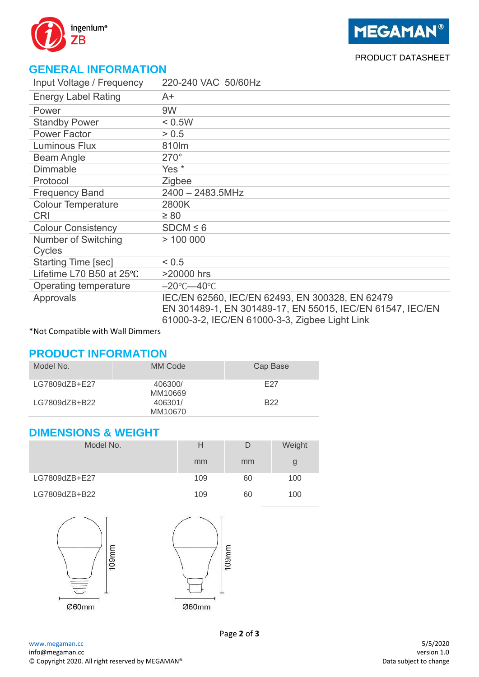

PRODUCT DATASHEET

# **GENERAL INFORMATION**

| Input Voltage / Frequency  | 220-240 VAC 50/60Hz                                                                                                                                            |
|----------------------------|----------------------------------------------------------------------------------------------------------------------------------------------------------------|
| <b>Energy Label Rating</b> | $A+$                                                                                                                                                           |
| Power                      | 9W                                                                                                                                                             |
| <b>Standby Power</b>       | < 0.5W                                                                                                                                                         |
| <b>Power Factor</b>        | > 0.5                                                                                                                                                          |
| Luminous Flux              | 810lm                                                                                                                                                          |
| <b>Beam Angle</b>          | $270^\circ$                                                                                                                                                    |
| Dimmable                   | Yes <sup>*</sup>                                                                                                                                               |
| Protocol                   | Zigbee                                                                                                                                                         |
| <b>Frequency Band</b>      | $2400 - 2483.5$ MHz                                                                                                                                            |
| <b>Colour Temperature</b>  | 2800K                                                                                                                                                          |
| <b>CRI</b>                 | $\geq 80$                                                                                                                                                      |
| <b>Colour Consistency</b>  | $SDCM \leq 6$                                                                                                                                                  |
| Number of Switching        | >100000                                                                                                                                                        |
| Cycles                     |                                                                                                                                                                |
| Starting Time [sec]        | < 0.5                                                                                                                                                          |
| Lifetime L70 B50 at 25°C   | >20000 hrs                                                                                                                                                     |
| Operating temperature      | $-20^{\circ}$ C $-40^{\circ}$ C                                                                                                                                |
| Approvals                  | IEC/EN 62560, IEC/EN 62493, EN 300328, EN 62479<br>EN 301489-1, EN 301489-17, EN 55015, IEC/EN 61547, IEC/EN<br>61000-3-2, IEC/EN 61000-3-3, Zigbee Light Link |

\*Not Compatible with Wall Dimmers

## **PRODUCT INFORMATION**

| Model No.     | MM Code            | Cap Base        |
|---------------|--------------------|-----------------|
| LG7809dZB+E27 | 406300/<br>MM10669 | F27             |
| LG7809dZB+B22 | 406301/<br>MM10670 | B <sub>22</sub> |

### **DIMENSIONS & WEIGHT**

| Model No.     | н   | D  | Weight |
|---------------|-----|----|--------|
|               | mm  | mm | g      |
| LG7809dZB+E27 | 109 | 60 | 100    |
| LG7809dZB+B22 | 109 | 60 | 100    |